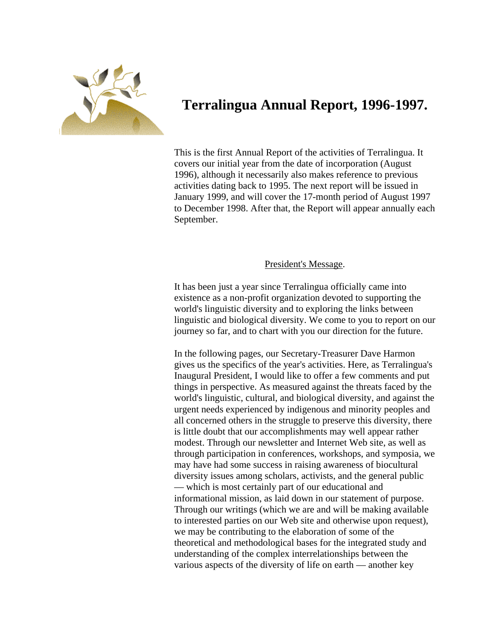

# **Terralingua Annual Report, 1996-1997.**

This is the first Annual Report of the activities of Terralingua. It covers our initial year from the date of incorporation (August 1996), although it necessarily also makes reference to previous activities dating back to 1995. The next report will be issued in January 1999, and will cover the 17-month period of August 1997 to December 1998. After that, the Report will appear annually each September.

## President's Message.

It has been just a year since Terralingua officially came into existence as a non-profit organization devoted to supporting the world's linguistic diversity and to exploring the links between linguistic and biological diversity. We come to you to report on our journey so far, and to chart with you our direction for the future.

In the following pages, our Secretary-Treasurer Dave Harmon gives us the specifics of the year's activities. Here, as Terralingua's Inaugural President, I would like to offer a few comments and put things in perspective. As measured against the threats faced by the world's linguistic, cultural, and biological diversity, and against the urgent needs experienced by indigenous and minority peoples and all concerned others in the struggle to preserve this diversity, there is little doubt that our accomplishments may well appear rather modest. Through our newsletter and Internet Web site, as well as through participation in conferences, workshops, and symposia, we may have had some success in raising awareness of biocultural diversity issues among scholars, activists, and the general public — which is most certainly part of our educational and informational mission, as laid down in our statement of purpose. Through our writings (which we are and will be making available to interested parties on our Web site and otherwise upon request) , we may be contributing to the elaboration of some of the theoretical and methodological bases for the integrated study and understanding of the complex interrelationships between the various aspects of the diversity of life on earth — another key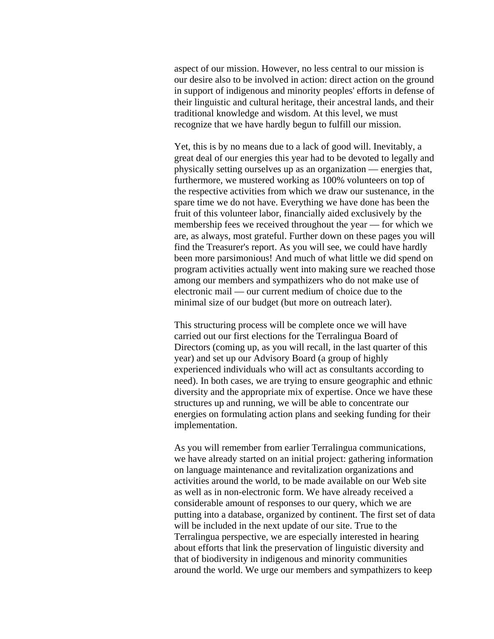aspect of our mission. However, no less central to our mission i s our desire also to be involved in action: direct action on the ground in support of indigenous and minority peoples' efforts in def ense of their linguistic and cultural heritage, their ancestral lands, and their traditional knowledge and wisdom. At this level, we must recognize that we have hardly begun to fulfill our mission.

minimal size of our budget (but more on outreach later). Yet, this is by no means due to a lack of good will. Inevitably, a great deal of our energies this year had to be devoted to legally and physically setting ourselves up as an organization — energies that, furthermore, we mustered working as 100% volunteers on top of the respective activities from which we draw our sustenance, in the spare time we do not have. Everything we have done has been the fruit of this volunteer labor, financially aided exclusively by the membership fees we received throughout the year — for which we are, as always, most grateful. Further down on these pages you will find the Treasurer's report. As you will see, we could have hardly been more parsimonious! And much of what little we did spend on program activities actually went into making sure we reached those among our members and sympathizers who do not make use of electronic mail — our current medium of choice due to the

energies on formulating action plans and seeking funding for their This structuring process will be complete once we will have carried out our first elections for the Terralingua Board of Directors (coming up, as you will recall, in the last quarter of this year) and set up our Advisory Board (a group of highly experienced individuals who will act as consultants according to need). In both cases, we are trying to ensure geographic and ethnic diversity and the appropriate mix of expertise. Once we have these structures up and running, we will be able to concentrate our implementation.

as well as in non-electronic form. We have already received a around the world. We urge our members and sympathizers to keep As you will remember from earlier Terralingua communications, we have already started on an initial project: gathering information on language maintenance and revitalization organizations and activities around the world, to be made available on our Web site considerable amount of responses to our query, which we are putting into a database, organized by continent. The first set of data will be included in the next update of our site. True to the Terralingua perspective, we are especially interested in hearing about efforts that link the preservation of linguistic diversity and that of biodiversity in indigenous and minority communities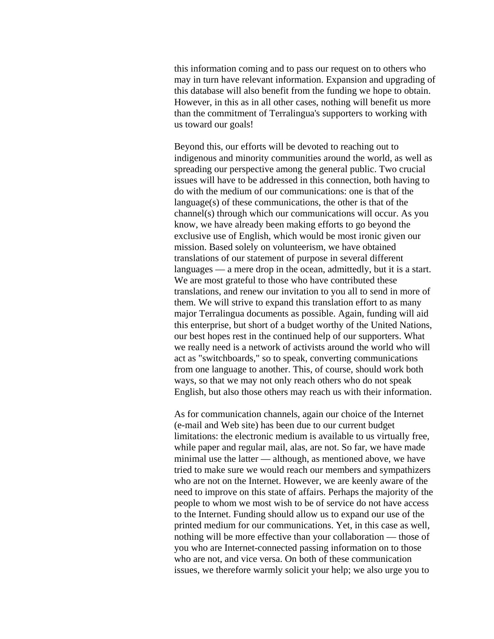this information coming and to pass our request on to others who may in turn have relevant information. Expansion and upgrading of this database will also benefit from the funding we hope to obt ain. However, in this as in all other cases, nothing will benefit us more than the commitment of Terralingua's supporters to working with us toward our goals!

Beyond this, our efforts will be devoted to reaching out to indigenous and minority communities around the world, as well as spreading our perspective among the general public. Two crucial issues will have to be addressed in this connection, both having to do with the medium of our communications: one is that of the language(s) of these communications, the other is that of the channel(s) through which our communications will occur. As you know, we have already been making efforts to go beyond the exclusive use of English, which would be most ironic given our mission. Based solely on volunteerism, we have obtained translations of our statement of purpose in several different languages — a mere drop in the ocean, admittedly, but it is a start. We are most grateful to those who have contributed these translations, and renew our invitation to you all to send in more of them. We will strive to expand this translation effort to as many major Terralingua documents as possible. Again, funding will aid this enterprise, but short of a budget worthy of the United Nations, our best hopes rest in the continued help of our supporters. What we really need is a network of activists around the world who will act as "switchboards," so to speak, converting communications from one language to another. This, of course, should work both ways, so that we may not only reach others who do not speak English, but also those others may reach us with their information.

people to whom we most wish to be of service do not have access nothing will be more effective than your collaboration — those of who are not, and vice versa. On both of these communication issues, we therefore warmly solicit your help; we also urge you to As for communication channels, again our choice of the Internet (e-mail and Web site) has been due to our current budget limitations: the electronic medium is available to us virtually free, while paper and regular mail, alas, are not. So far, we have made minimal use the latter — although, as mentioned above, we have tried to make sure we would reach our members and sympathizers who are not on the Internet. However, we are keenly aware of the need to improve on this state of affairs. Perhaps the majority of the to the Internet. Funding should allow us to expand our use of the printed medium for our communications. Yet, in this case as well, you who are Internet-connected passing information on to those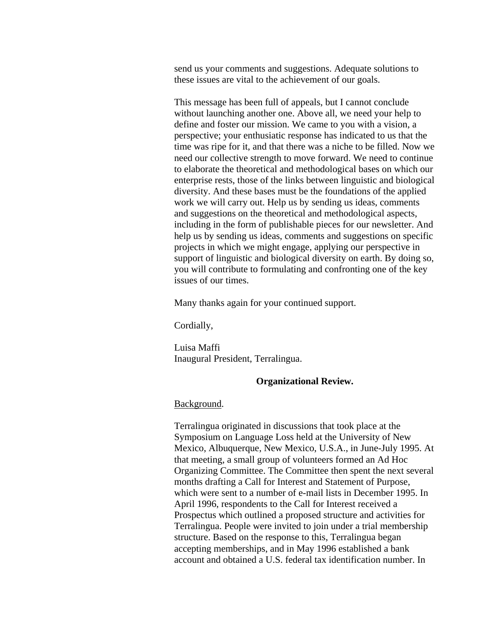send us your comments and suggestions. Adequate solutions to these issues are vital to the achievement of our goals.

and suggestions on the theoretical and methodological aspects, This message has been full of appeals, but I cannot conclude without launching another one. Above all, we need your help to define and foster our mission. We came to you with a vision, a perspective; your enthusiatic response has indicated to us that the time was ripe for it, and that there was a niche to be filled. Now we need our collective strength to move forward. We need to continue to elaborate the theoretical and methodological bases on which our enterprise rests, those of the links between linguistic and biological diversity. And these bases must be the foundations of the applied work we will carry out. Help us by sending us ideas, comments including in the form of publishable pieces for our newsletter. And help us by sending us ideas, comments and suggestions on specific projects in which we might engage, applying our perspective in support of linguistic and biological diversity on earth. By doing so, you will contribute to formulating and confronting one of the key issues of our times.

Many thanks again for your continued support.

Cordially,

Luisa Maffi Inaugural President, Terralingua.

## **Organizational Review.**

#### Background.

Terralingua originated in discussions that took place at the Symposium on Language Loss held at the University of New Mexico, Albuquerque, New Mexico, U.S.A., in June-July 1995. At that meeting, a small group of volunteers formed an Ad Hoc Organizing Committee. The Committee then spent the next several months drafting a Call for Interest and Statement of Purpose, which were sent to a number of e-mail lists in December 1995. In April 1996, respondents to the Call for Interest received a Prospectus which outlined a proposed structure and activities for Terralingua. People were invited to join under a trial membersh ip structure. Based on the response to this, Terralingua began accepting memberships, and in May 1996 established a bank account and obtained a U.S. federal tax identification number. In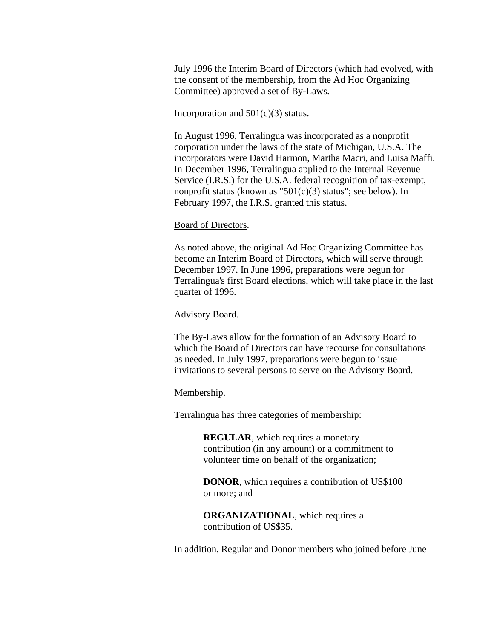July 1996 the Interim Board of Directors (which had evolved, with the consent of the membership, from the Ad Hoc Organizin g Committee) approved a set o f By-Laws.

## Incorporation and  $501(c)(3)$  status.

In August 1996, Terralingua was incorporated as a nonprofit corporation under the laws of the state of Michigan, U.S.A. The incorporators were David Harmon, Martha Macri, and Luisa Maffi. In December 1996, Terralingua applied to the Internal Revenue Service (I.R.S.) for the U.S.A. federal recognition of tax-exempt, nonprofit status (known as "501(c)(3) status"; see below). In February 1997, the I.R.S. granted this status.

## Board of Directors.

As noted above, the original Ad Hoc Organizing Committee has become an Interim Board of Directors, which will serve through December 1997. In June 1996, preparations were begun for Terralingua's first Board elections, which will take place in the last quarter of 1996.

## Advisory Board.

The By-Laws allow for the formation of an Advisory Board to which the Board of Directors can have recourse for consultations as needed. In July 1997, preparations were begun to issue invitations to several persons to serve on the Advisory Board.

#### Membership.

Terralingua has three categories of membership:

**REGULAR**, which requires a monetary contribution (in any amount) or a commitment to volunteer time on behalf of the organization;

**DONOR**, which requires a contribution of US\$100 or more; and

**ORGANIZATIONAL**, which requires a contribution of US\$35.

In addition, Regular and Donor members who joined before June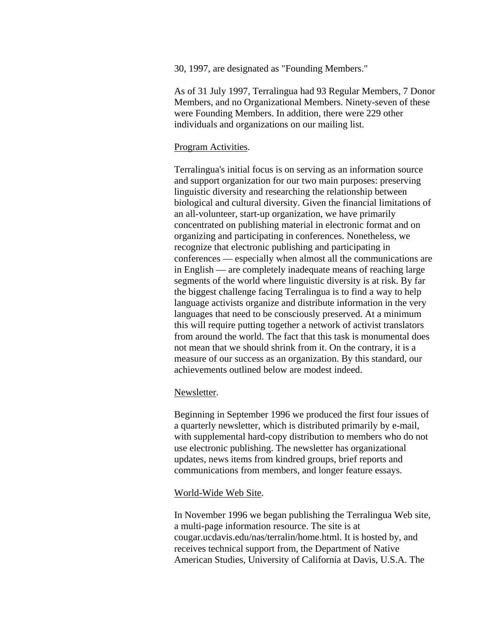30, 1997, are designated as "Founding Members."

As of 31 July 1997, Terralingua had 93 Regular Members, 7 Donor Members, and no Organizational Members. Ninety-seven of these were Founding Members. In addition, there were 229 other individuals and organizations on our mailing list.

## Program Activities.

Terralingua's initial focus is on serving as an information source and support organization for our two main purposes: preserving linguistic diversity and researching the relationship between biological and cultural diversity. Given the financial limitations of an all-volunteer, start-up organization, we have primarily concentrated on publishing material in electronic format and on organizing and participating in conferences. Nonetheless, we recognize that electronic publishing and participating in conferences — especially when almost all the communications are in English — are completely inadequate means of reaching large segments of the world where linguistic diversity is at risk. By far the biggest challenge facing Terralingua is to find a way to help language activists organize and distribute information in the very languages that need to be consciously preserved. At a minimum this will require putting together a network of activist translators from around the world. The fact that this task is monumental does not mean that we should shrink from it. On the contrary, it is a measure of our success as an organization. By this standard, our achievements outlined below are modest indeed.

#### Newsletter.

Beginning in September 1996 we produced the first four issues of a quarterly newsletter, which is distributed primarily by e-mail, with supplemental hard-copy distribution to members who do not use electronic publishing. The newsletter has organizational updates, news items from kindred groups, brief reports and communications from members, and longer feature essays.

#### World-Wide Web Site.

In November 1996 we began publishing the Terralingua Web site, a multi-page information resource. The site is a t cougar.ucdavis.edu/nas/terralin/home.html. It is hosted by, and receives technical support from, the Department of Native American Studies, University of California at Davis, U.S.A. The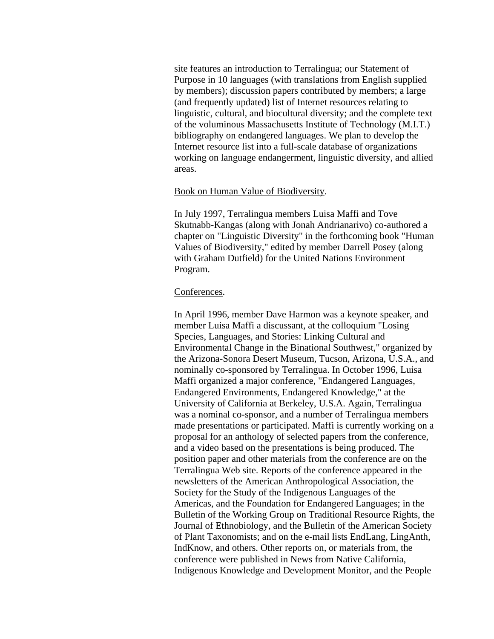site features an introduction to Terralingua; our Statement of Purpose in 10 languages (with translations from English supplied by members); discussion papers contributed by members; a large (and frequently updated) list of Internet resources relating to linguistic, cultural, and biocultural diversity; and the complete text of the voluminous Massachusetts Institute of Technology (M.I.T.) bibliography on endangered languages. We plan to develop the Internet resource list into a full-scale database of organizations working on language endangerment, linguistic diversity, and allied areas.

## Book on Human Value of Biodiversity.

In July 1997, Terralingua members Luisa Maffi and Tove Skutnabb-Kangas (along with Jonah Andrianarivo) co-authored a chapter on "Linguistic Diversity" in the forthcoming book "Human Values of Biodiversity," edited by member Darrell Posey (along with Graham Dutfield) for the United Nations Environment Program.

## Conferences.

In April 1996, member Dave Harmon was a keynote speaker, and member Luisa Maffi a discussant, at the colloquium "Losing Species, Languages, and Stories: Linking Cultural and Environmental Change in the Binational Southwest," organized by the Arizona-Sonora Desert Museum, Tucson, Arizona, U.S.A., and nominally co-sponsored by Terralingua. In October 1996, Luisa Maffi organized a major conference, "Endangered Languages, Endangered Environments, Endangered Knowledge," at the University of California at Berkeley, U.S.A. Again, Terralingua was a nominal co-sponsor, and a number of Terralingua members made presentations or participated. Maffi is currently working on a proposal for an anthology of selected papers from the conference, and a video based on the presentations is being produced. The position paper and other materials from the conference are on the Terralingua Web site. Reports of the conference appeared in the newsletters of the American Anthropological Association, the Society for the Study of the Indigenous Languages of the Americas, and the Foundation for Endangered Languages; in the Bulletin of the Working Group on Traditional Resource Rights, the Journal of Ethnobiology, and the Bulletin of the American Society of Plant Taxonomists; and on the e-mail lists EndLang, Lin gAnth, IndKnow, and others. Other reports on, or materials from, the conference were published in News from Native California, Indigenous Knowledge and Development Monitor, and the People